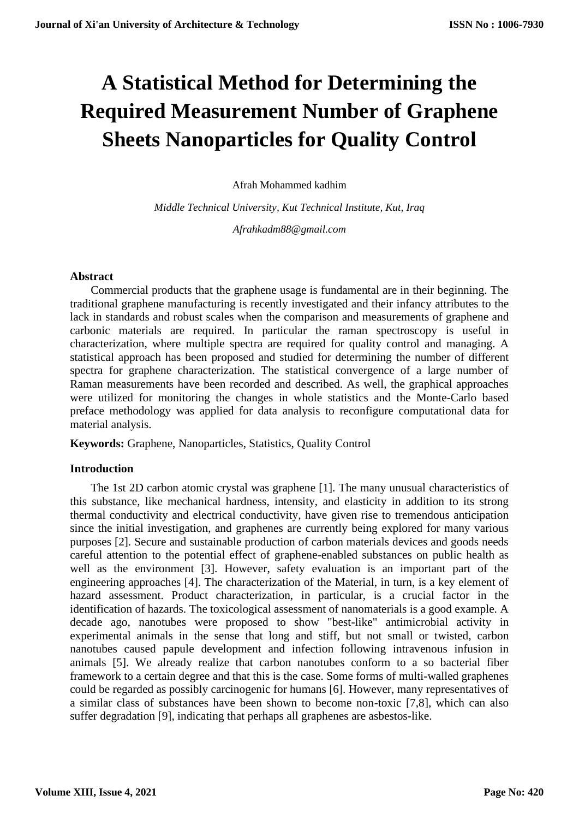# **A Statistical Method for Determining the Required Measurement Number of Graphene Sheets Nanoparticles for Quality Control**

Afrah Mohammed kadhim

*Middle Technical University, Kut Technical Institute, Kut, Iraq Afrahkadm88@gmail.com*

### **Abstract**

Commercial products that the graphene usage is fundamental are in their beginning. The traditional graphene manufacturing is recently investigated and their infancy attributes to the lack in standards and robust scales when the comparison and measurements of graphene and carbonic materials are required. In particular the raman spectroscopy is useful in characterization, where multiple spectra are required for quality control and managing. A statistical approach has been proposed and studied for determining the number of different spectra for graphene characterization. The statistical convergence of a large number of Raman measurements have been recorded and described. As well, the graphical approaches were utilized for monitoring the changes in whole statistics and the Monte-Carlo based preface methodology was applied for data analysis to reconfigure computational data for material analysis.

**Keywords:** Graphene, Nanoparticles, Statistics, Quality Control

## **Introduction**

The 1st 2D carbon atomic crystal was graphene [1]. The many unusual characteristics of this substance, like mechanical hardness, intensity, and elasticity in addition to its strong thermal conductivity and electrical conductivity, have given rise to tremendous anticipation since the initial investigation, and graphenes are currently being explored for many various purposes [2]. Secure and sustainable production of carbon materials devices and goods needs careful attention to the potential effect of graphene-enabled substances on public health as well as the environment [3]. However, safety evaluation is an important part of the engineering approaches [4]. The characterization of the Material, in turn, is a key element of hazard assessment. Product characterization, in particular, is a crucial factor in the identification of hazards. The toxicological assessment of nanomaterials is a good example. A decade ago, nanotubes were proposed to show "best-like" antimicrobial activity in experimental animals in the sense that long and stiff, but not small or twisted, carbon nanotubes caused papule development and infection following intravenous infusion in animals [5]. We already realize that carbon nanotubes conform to a so bacterial fiber framework to a certain degree and that this is the case. Some forms of multi-walled graphenes could be regarded as possibly carcinogenic for humans [6]. However, many representatives of a similar class of substances have been shown to become non-toxic [7,8], which can also suffer degradation [9], indicating that perhaps all graphenes are asbestos-like.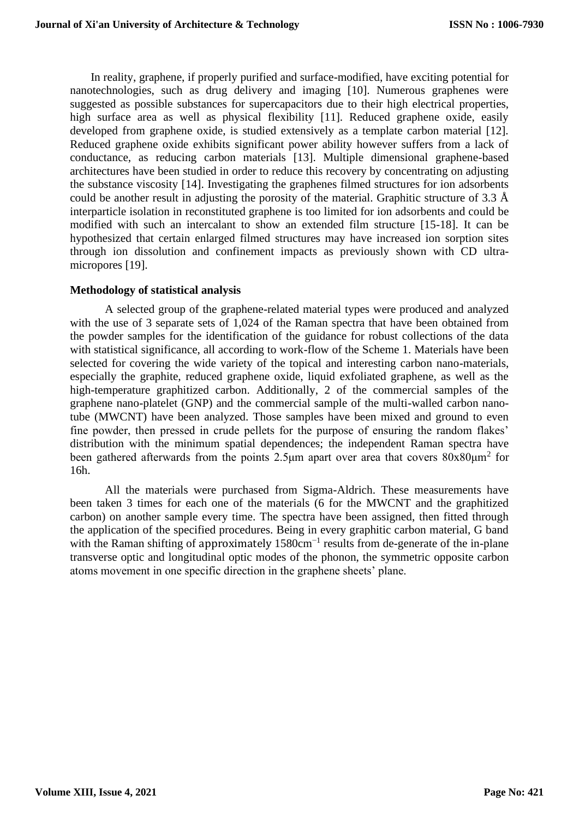In reality, graphene, if properly purified and surface-modified, have exciting potential for nanotechnologies, such as drug delivery and imaging [10]. Numerous graphenes were suggested as possible substances for supercapacitors due to their high electrical properties, high surface area as well as physical flexibility [11]. Reduced graphene oxide, easily developed from graphene oxide, is studied extensively as a template carbon material [12]. Reduced graphene oxide exhibits significant power ability however suffers from a lack of conductance, as reducing carbon materials [13]. Multiple dimensional graphene-based architectures have been studied in order to reduce this recovery by concentrating on adjusting the substance viscosity [14]. Investigating the graphenes filmed structures for ion adsorbents could be another result in adjusting the porosity of the material. Graphitic structure of 3.3  $\AA$ interparticle isolation in reconstituted graphene is too limited for ion adsorbents and could be modified with such an intercalant to show an extended film structure [15-18]. It can be hypothesized that certain enlarged filmed structures may have increased ion sorption sites through ion dissolution and confinement impacts as previously shown with CD ultramicropores [19].

## **Methodology of statistical analysis**

A selected group of the graphene-related material types were produced and analyzed with the use of 3 separate sets of 1,024 of the Raman spectra that have been obtained from the powder samples for the identification of the guidance for robust collections of the data with statistical significance, all according to work-flow of the Scheme 1. Materials have been selected for covering the wide variety of the topical and interesting carbon nano-materials, especially the graphite, reduced graphene oxide, liquid exfoliated graphene, as well as the high-temperature graphitized carbon. Additionally, 2 of the commercial samples of the graphene nano-platelet (GNP) and the commercial sample of the multi-walled carbon nanotube (MWCNT) have been analyzed. Those samples have been mixed and ground to even fine powder, then pressed in crude pellets for the purpose of ensuring the random flakes' distribution with the minimum spatial dependences; the independent Raman spectra have been gathered afterwards from the points 2.5 $\mu$ m apart over area that covers 80x80 $\mu$ m<sup>2</sup> for 16h.

All the materials were purchased from Sigma-Aldrich. These measurements have been taken 3 times for each one of the materials (6 for the MWCNT and the graphitized carbon) on another sample every time. The spectra have been assigned, then fitted through the application of the specified procedures. Being in every graphitic carbon material, G band with the Raman shifting of approximately 1580cm<sup>-1</sup> results from de-generate of the in-plane transverse optic and longitudinal optic modes of the phonon, the symmetric opposite carbon atoms movement in one specific direction in the graphene sheets' plane.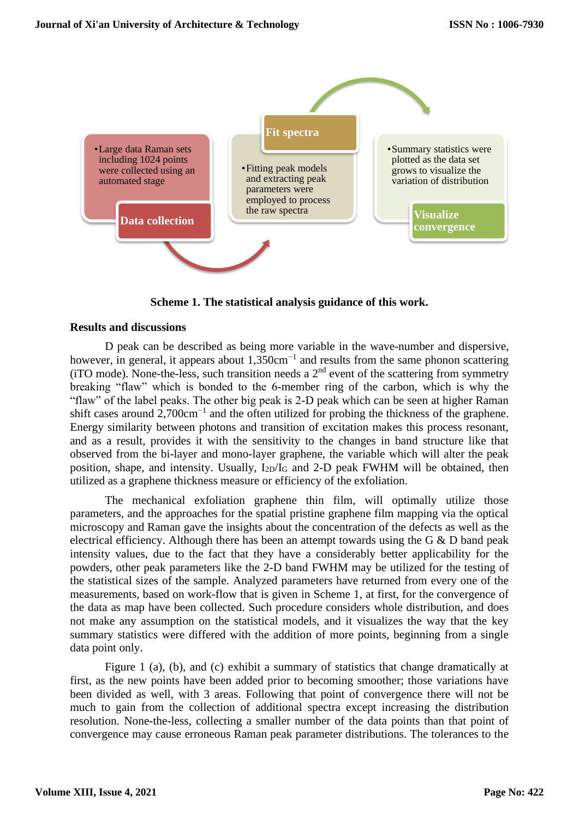

**Scheme 1. The statistical analysis guidance of this work.**

#### **Results and discussions**

D peak can be described as being more variable in the wave-number and dispersive, however, in general, it appears about 1,350cm<sup>-1</sup> and results from the same phonon scattering (iTO mode). None-the-less, such transition needs a  $2<sup>nd</sup>$  event of the scattering from symmetry breaking "flaw" which is bonded to the 6-member ring of the carbon, which is why the "flaw" of the label peaks. The other big peak is 2-D peak which can be seen at higher Raman shift cases around 2,700cm<sup>-1</sup> and the often utilized for probing the thickness of the graphene. Energy similarity between photons and transition of excitation makes this process resonant, and as a result, provides it with the sensitivity to the changes in band structure like that observed from the bi-layer and mono-layer graphene, the variable which will alter the peak position, shape, and intensity. Usually,  $I_{2D}/I_G$  and 2-D peak FWHM will be obtained, then utilized as a graphene thickness measure or efficiency of the exfoliation.

The mechanical exfoliation graphene thin film, will optimally utilize those parameters, and the approaches for the spatial pristine graphene film mapping via the optical microscopy and Raman gave the insights about the concentration of the defects as well as the electrical efficiency. Although there has been an attempt towards using the G  $\&$  D band peak intensity values, due to the fact that they have a considerably better applicability for the powders, other peak parameters like the 2-D band FWHM may be utilized for the testing of the statistical sizes of the sample. Analyzed parameters have returned from every one of the measurements, based on work-flow that is given in Scheme 1, at first, for the convergence of the data as map have been collected. Such procedure considers whole distribution, and does not make any assumption on the statistical models, and it visualizes the way that the key summary statistics were differed with the addition of more points, beginning from a single data point only.

Figure 1 (a), (b), and (c) exhibit a summary of statistics that change dramatically at first, as the new points have been added prior to becoming smoother; those variations have been divided as well, with 3 areas. Following that point of convergence there will not be much to gain from the collection of additional spectra except increasing the distribution resolution. None-the-less, collecting a smaller number of the data points than that point of convergence may cause erroneous Raman peak parameter distributions. The tolerances to the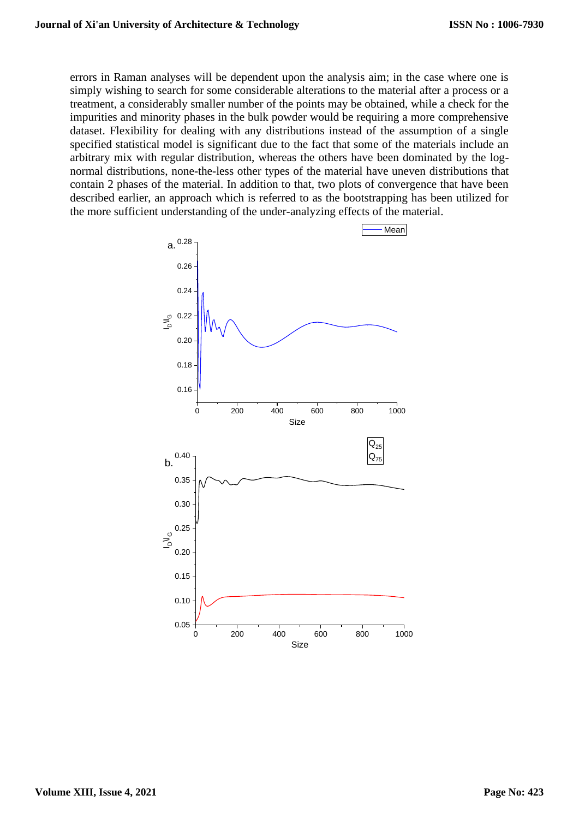errors in Raman analyses will be dependent upon the analysis aim; in the case where one is simply wishing to search for some considerable alterations to the material after a process or a treatment, a considerably smaller number of the points may be obtained, while a check for the impurities and minority phases in the bulk powder would be requiring a more comprehensive dataset. Flexibility for dealing with any distributions instead of the assumption of a single specified statistical model is significant due to the fact that some of the materials include an arbitrary mix with regular distribution, whereas the others have been dominated by the lognormal distributions, none-the-less other types of the material have uneven distributions that contain 2 phases of the material. In addition to that, two plots of convergence that have been described earlier, an approach which is referred to as the bootstrapping has been utilized for the more sufficient understanding of the under-analyzing effects of the material.

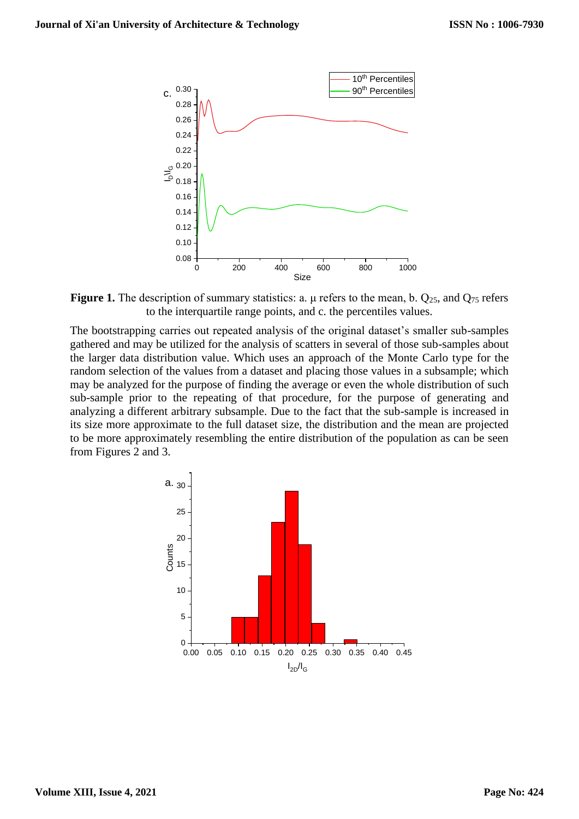

**Figure 1.** The description of summary statistics: a.  $\mu$  refers to the mean, b.  $Q_{25}$ , and  $Q_{75}$  refers to the interquartile range points, and c. the percentiles values.

The bootstrapping carries out repeated analysis of the original dataset's smaller sub-samples gathered and may be utilized for the analysis of scatters in several of those sub-samples about the larger data distribution value. Which uses an approach of the Monte Carlo type for the random selection of the values from a dataset and placing those values in a subsample; which may be analyzed for the purpose of finding the average or even the whole distribution of such sub-sample prior to the repeating of that procedure, for the purpose of generating and analyzing a different arbitrary subsample. Due to the fact that the sub-sample is increased in its size more approximate to the full dataset size, the distribution and the mean are projected to be more approximately resembling the entire distribution of the population as can be seen from Figures 2 and 3.

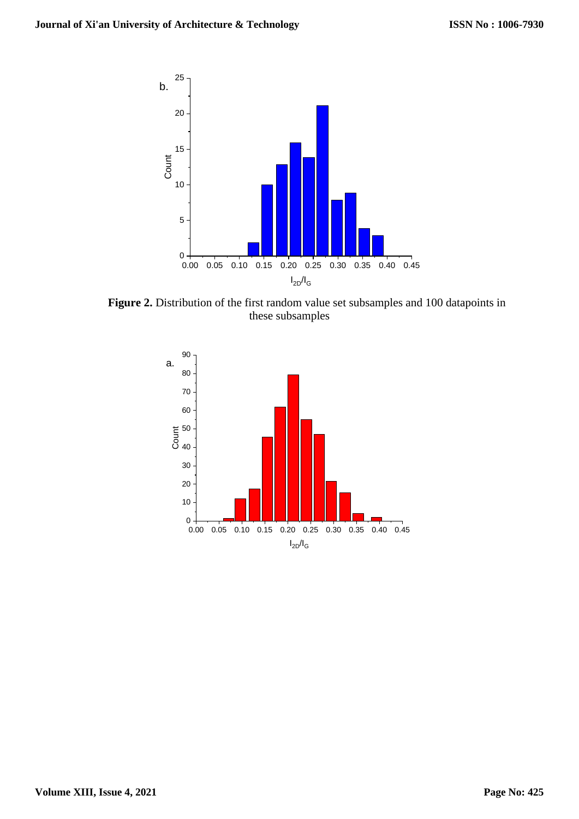

**Figure 2.** Distribution of the first random value set subsamples and 100 datapoints in these subsamples

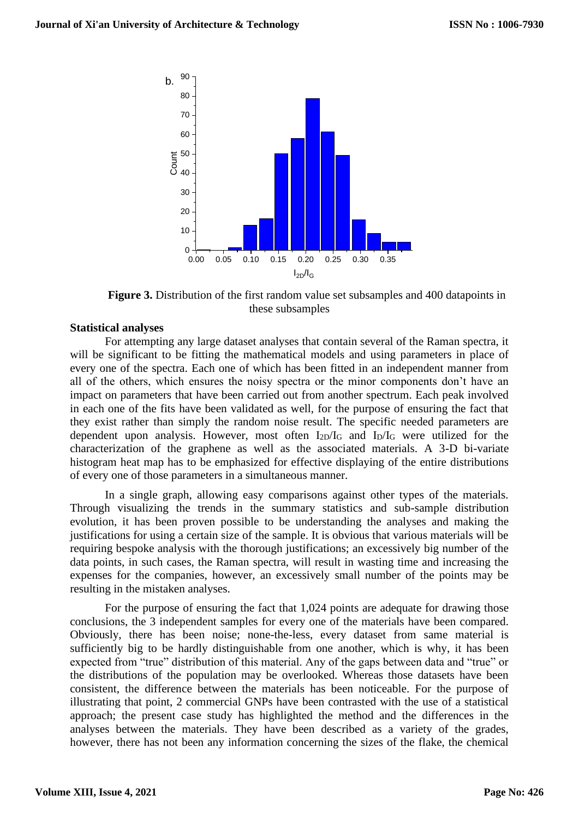

**Figure 3.** Distribution of the first random value set subsamples and 400 datapoints in these subsamples

#### **Statistical analyses**

For attempting any large dataset analyses that contain several of the Raman spectra, it will be significant to be fitting the mathematical models and using parameters in place of every one of the spectra. Each one of which has been fitted in an independent manner from all of the others, which ensures the noisy spectra or the minor components don't have an impact on parameters that have been carried out from another spectrum. Each peak involved in each one of the fits have been validated as well, for the purpose of ensuring the fact that they exist rather than simply the random noise result. The specific needed parameters are dependent upon analysis. However, most often  $I_{2D}/I_G$  and  $I_D/I_G$  were utilized for the characterization of the graphene as well as the associated materials. A 3-D bi-variate histogram heat map has to be emphasized for effective displaying of the entire distributions of every one of those parameters in a simultaneous manner.

In a single graph, allowing easy comparisons against other types of the materials. Through visualizing the trends in the summary statistics and sub-sample distribution evolution, it has been proven possible to be understanding the analyses and making the justifications for using a certain size of the sample. It is obvious that various materials will be requiring bespoke analysis with the thorough justifications; an excessively big number of the data points, in such cases, the Raman spectra, will result in wasting time and increasing the expenses for the companies, however, an excessively small number of the points may be resulting in the mistaken analyses.

For the purpose of ensuring the fact that 1,024 points are adequate for drawing those conclusions, the 3 independent samples for every one of the materials have been compared. Obviously, there has been noise; none-the-less, every dataset from same material is sufficiently big to be hardly distinguishable from one another, which is why, it has been expected from "true" distribution of this material. Any of the gaps between data and "true" or the distributions of the population may be overlooked. Whereas those datasets have been consistent, the difference between the materials has been noticeable. For the purpose of illustrating that point, 2 commercial GNPs have been contrasted with the use of a statistical approach; the present case study has highlighted the method and the differences in the analyses between the materials. They have been described as a variety of the grades, however, there has not been any information concerning the sizes of the flake, the chemical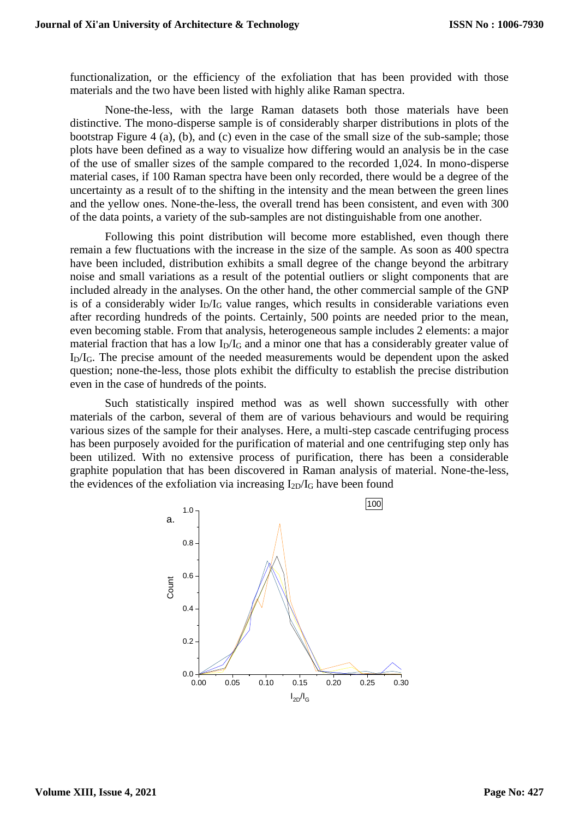functionalization, or the efficiency of the exfoliation that has been provided with those materials and the two have been listed with highly alike Raman spectra.

None-the-less, with the large Raman datasets both those materials have been distinctive. The mono-disperse sample is of considerably sharper distributions in plots of the bootstrap Figure 4 (a), (b), and (c) even in the case of the small size of the sub-sample; those plots have been defined as a way to visualize how differing would an analysis be in the case of the use of smaller sizes of the sample compared to the recorded 1,024. In mono-disperse material cases, if 100 Raman spectra have been only recorded, there would be a degree of the uncertainty as a result of to the shifting in the intensity and the mean between the green lines and the yellow ones. None-the-less, the overall trend has been consistent, and even with 300 of the data points, a variety of the sub-samples are not distinguishable from one another.

Following this point distribution will become more established, even though there remain a few fluctuations with the increase in the size of the sample. As soon as 400 spectra have been included, distribution exhibits a small degree of the change beyond the arbitrary noise and small variations as a result of the potential outliers or slight components that are included already in the analyses. On the other hand, the other commercial sample of the GNP is of a considerably wider  $I_D/I_G$  value ranges, which results in considerable variations even after recording hundreds of the points. Certainly, 500 points are needed prior to the mean, even becoming stable. From that analysis, heterogeneous sample includes 2 elements: a major material fraction that has a low  $I_D/I_G$  and a minor one that has a considerably greater value of  $I_{D}/I_{G}$ . The precise amount of the needed measurements would be dependent upon the asked question; none-the-less, those plots exhibit the difficulty to establish the precise distribution even in the case of hundreds of the points.

Such statistically inspired method was as well shown successfully with other materials of the carbon, several of them are of various behaviours and would be requiring various sizes of the sample for their analyses. Here, a multi-step cascade centrifuging process has been purposely avoided for the purification of material and one centrifuging step only has been utilized. With no extensive process of purification, there has been a considerable graphite population that has been discovered in Raman analysis of material. None-the-less, the evidences of the exfoliation via increasing  $I_{2D}/I_G$  have been found

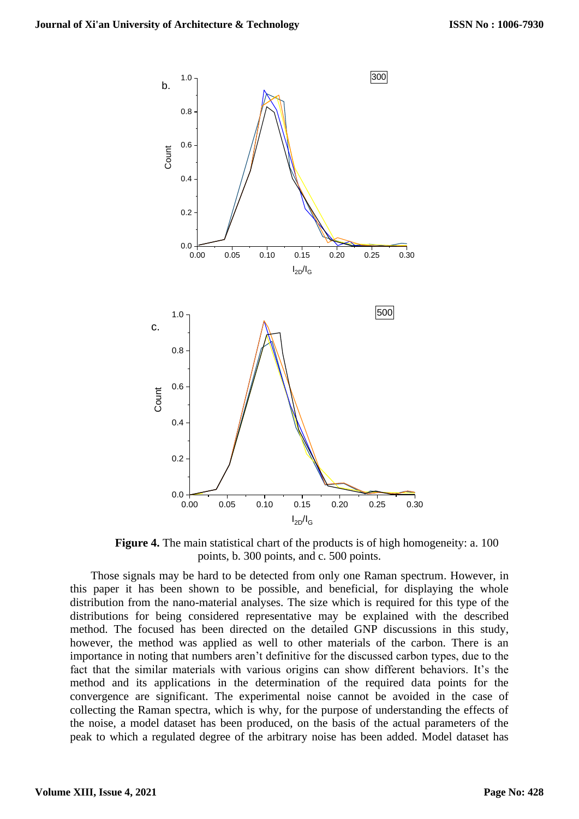

**Figure 4.** The main statistical chart of the products is of high homogeneity: a. 100 points, b. 300 points, and c. 500 points.

Those signals may be hard to be detected from only one Raman spectrum. However, in this paper it has been shown to be possible, and beneficial, for displaying the whole distribution from the nano-material analyses. The size which is required for this type of the distributions for being considered representative may be explained with the described method. The focused has been directed on the detailed GNP discussions in this study, however, the method was applied as well to other materials of the carbon. There is an importance in noting that numbers aren't definitive for the discussed carbon types, due to the fact that the similar materials with various origins can show different behaviors. It's the method and its applications in the determination of the required data points for the convergence are significant. The experimental noise cannot be avoided in the case of collecting the Raman spectra, which is why, for the purpose of understanding the effects of the noise, a model dataset has been produced, on the basis of the actual parameters of the peak to which a regulated degree of the arbitrary noise has been added. Model dataset has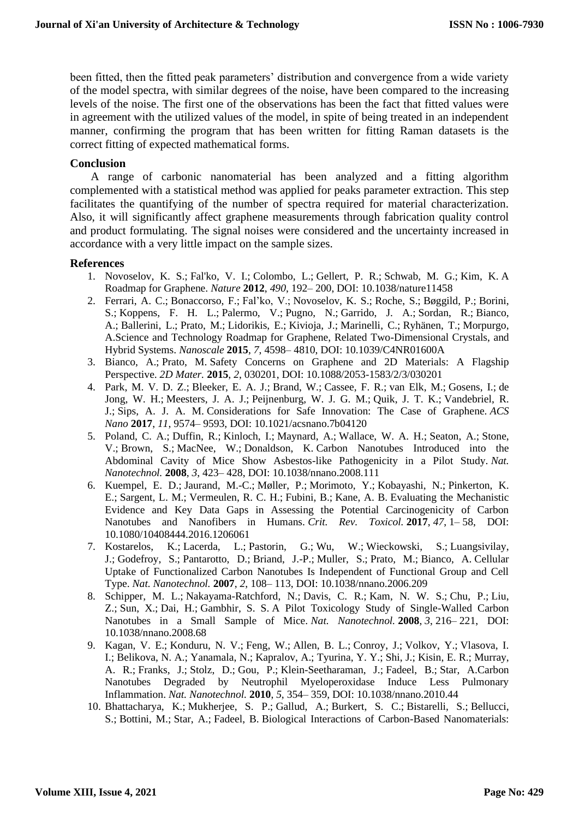been fitted, then the fitted peak parameters' distribution and convergence from a wide variety of the model spectra, with similar degrees of the noise, have been compared to the increasing levels of the noise. The first one of the observations has been the fact that fitted values were in agreement with the utilized values of the model, in spite of being treated in an independent manner, confirming the program that has been written for fitting Raman datasets is the correct fitting of expected mathematical forms.

## **Conclusion**

A range of carbonic nanomaterial has been analyzed and a fitting algorithm complemented with a statistical method was applied for peaks parameter extraction. This step facilitates the quantifying of the number of spectra required for material characterization. Also, it will significantly affect graphene measurements through fabrication quality control and product formulating. The signal noises were considered and the uncertainty increased in accordance with a very little impact on the sample sizes.

## **References**

- 1. Novoselov, K. S.; Fal'ko, V. I.; Colombo, L.; Gellert, P. R.; Schwab, M. G.; Kim, K. A Roadmap for Graphene. *Nature* **2012**, *490*, 192– 200, DOI: 10.1038/nature11458
- 2. Ferrari, A. C.; Bonaccorso, F.; Fal'ko, V.; Novoselov, K. S.; Roche, S.; Bøggild, P.; Borini, S.; Koppens, F. H. L.; Palermo, V.; Pugno, N.; Garrido, J. A.; Sordan, R.; Bianco, A.; Ballerini, L.; Prato, M.; Lidorikis, E.; Kivioja, J.; Marinelli, C.; Ryhänen, T.; Morpurgo, A.Science and Technology Roadmap for Graphene, Related Two-Dimensional Crystals, and Hybrid Systems. *Nanoscale* **2015**, *7*, 4598– 4810, DOI: 10.1039/C4NR01600A
- 3. Bianco, A.; Prato, M. Safety Concerns on Graphene and 2D Materials: A Flagship Perspective. *2D Mater.* **2015**, *2*, 030201, DOI: 10.1088/2053-1583/2/3/030201
- 4. Park, M. V. D. Z.; Bleeker, E. A. J.; Brand, W.; Cassee, F. R.; van Elk, M.; Gosens, I.; de Jong, W. H.; Meesters, J. A. J.; Peijnenburg, W. J. G. M.; Quik, J. T. K.; Vandebriel, R. J.; Sips, A. J. A. M. Considerations for Safe Innovation: The Case of Graphene. *ACS Nano* **2017**, *11*, 9574– 9593, DOI: 10.1021/acsnano.7b04120
- 5. Poland, C. A.; Duffin, R.; Kinloch, I.; Maynard, A.; Wallace, W. A. H.; Seaton, A.; Stone, V.; Brown, S.; MacNee, W.; Donaldson, K. Carbon Nanotubes Introduced into the Abdominal Cavity of Mice Show Asbestos-like Pathogenicity in a Pilot Study. *Nat. Nanotechnol.* **2008**, *3*, 423– 428, DOI: 10.1038/nnano.2008.111
- 6. Kuempel, E. D.; Jaurand, M.-C.; Møller, P.; Morimoto, Y.; Kobayashi, N.; Pinkerton, K. E.; Sargent, L. M.; Vermeulen, R. C. H.; Fubini, B.; Kane, A. B. Evaluating the Mechanistic Evidence and Key Data Gaps in Assessing the Potential Carcinogenicity of Carbon Nanotubes and Nanofibers in Humans. *Crit. Rev. Toxicol.* **2017**, *47*, 1– 58, DOI: 10.1080/10408444.2016.1206061
- 7. Kostarelos, K.; Lacerda, L.; Pastorin, G.; Wu, W.; Wieckowski, S.; Luangsivilay, J.; Godefroy, S.; Pantarotto, D.; Briand, J.-P.; Muller, S.; Prato, M.; Bianco, A. Cellular Uptake of Functionalized Carbon Nanotubes Is Independent of Functional Group and Cell Type. *Nat. Nanotechnol.* **2007**, *2*, 108– 113, DOI: 10.1038/nnano.2006.209
- 8. Schipper, M. L.; Nakayama-Ratchford, N.; Davis, C. R.; Kam, N. W. S.; Chu, P.; Liu, Z.; Sun, X.; Dai, H.; Gambhir, S. S. A Pilot Toxicology Study of Single-Walled Carbon Nanotubes in a Small Sample of Mice. *Nat. Nanotechnol.* **2008**, *3*, 216– 221, DOI: 10.1038/nnano.2008.68
- 9. Kagan, V. E.; Konduru, N. V.; Feng, W.; Allen, B. L.; Conroy, J.; Volkov, Y.; Vlasova, I. I.; Belikova, N. A.; Yanamala, N.; Kapralov, A.; Tyurina, Y. Y.; Shi, J.; Kisin, E. R.; Murray, A. R.; Franks, J.; Stolz, D.; Gou, P.; Klein-Seetharaman, J.; Fadeel, B.; Star, A.Carbon Nanotubes Degraded by Neutrophil Myeloperoxidase Induce Less Pulmonary Inflammation. *Nat. Nanotechnol.* **2010**, *5*, 354– 359, DOI: 10.1038/nnano.2010.44
- 10. Bhattacharya, K.; Mukherjee, S. P.; Gallud, A.; Burkert, S. C.; Bistarelli, S.; Bellucci, S.; Bottini, M.; Star, A.; Fadeel, B. Biological Interactions of Carbon-Based Nanomaterials: